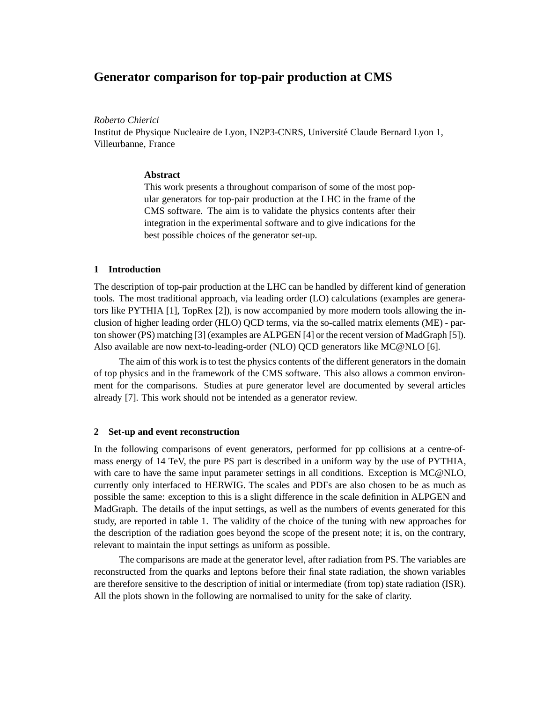# **Generator comparison for top-pair production at CMS**

*Roberto Chierici*

Institut de Physique Nucleaire de Lyon, IN2P3-CNRS, Université Claude Bernard Lyon 1, Villeurbanne, France

# **Abstract**

This work presents a throughout comparison of some of the most popular generators for top-pair production at the LHC in the frame of the CMS software. The aim is to validate the physics contents after their integration in the experimental software and to give indications for the best possible choices of the generator set-up.

# **1 Introduction**

The description of top-pair production at the LHC can be handled by different kind of generation tools. The most traditional approach, via leading order (LO) calculations (examples are generators like PYTHIA [1], TopRex [2]), is now accompanied by more modern tools allowing the inclusion of higher leading order (HLO) QCD terms, via the so-called matrix elements (ME) - parton shower (PS) matching [3] (examples are ALPGEN [4] or the recent version of MadGraph [5]). Also available are now next-to-leading-order (NLO) QCD generators like MC@NLO [6].

The aim of this work is to test the physics contents of the different generators in the domain of top physics and in the framework of the CMS software. This also allows a common environment for the comparisons. Studies at pure generator level are documented by several articles already [7]. This work should not be intended as a generator review.

# **2 Set-up and event reconstruction**

In the following comparisons of event generators, performed for pp collisions at a centre-ofmass energy of 14 TeV, the pure PS part is described in a uniform way by the use of PYTHIA, with care to have the same input parameter settings in all conditions. Exception is MC@NLO, currently only interfaced to HERWIG. The scales and PDFs are also chosen to be as much as possible the same: exception to this is a slight difference in the scale definition in ALPGEN and MadGraph. The details of the input settings, as well as the numbers of events generated for this study, are reported in table 1. The validity of the choice of the tuning with new approaches for the description of the radiation goes beyond the scope of the present note; it is, on the contrary, relevant to maintain the input settings as uniform as possible.

The comparisons are made at the generator level, after radiation from PS. The variables are reconstructed from the quarks and leptons before their final state radiation, the shown variables are therefore sensitive to the description of initial or intermediate (from top) state radiation (ISR). All the plots shown in the following are normalised to unity for the sake of clarity.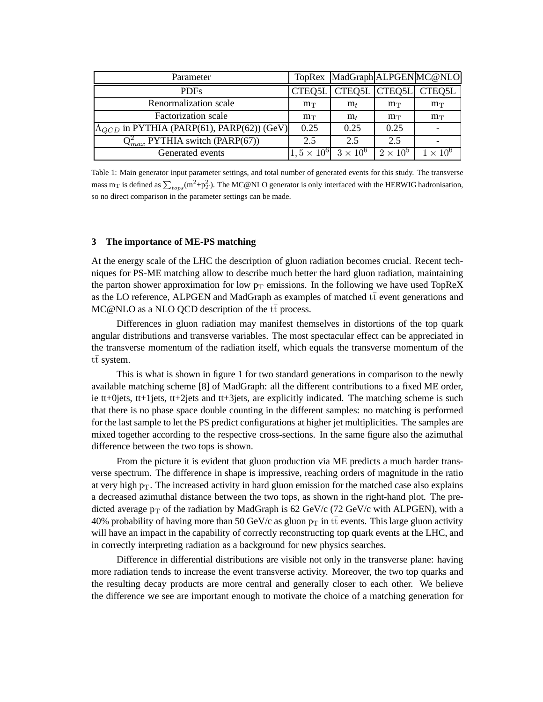| Parameter                                             |                      |                |               | TopRex MadGraph ALPGEN MC@NLO |
|-------------------------------------------------------|----------------------|----------------|---------------|-------------------------------|
| <b>PDFs</b>                                           | CTEQ5L               | CTEQ5L CTEQ5L  |               | CTEQ5L                        |
| Renormalization scale                                 | $m_T$                | $m_t$          | $m_T$         | $m_T$                         |
| <b>Factorization</b> scale                            | $m_T$                | m <sub>t</sub> | $m_T$         | $m_T$                         |
| $ \Lambda_{QCD}$ in PYTHIA (PARP(61), PARP(62)) (GeV) | 0.25                 | 0.25           | 0.25          |                               |
| $Q_{max}^2$ PYTHIA switch (PARP(67))                  | 2.5                  | 2.5            | 2.5           |                               |
| Generated events                                      | $1, 5 \times 10^{6}$ | $3\times10^6$  | $2\times10^5$ | $1 \times 10^6$               |

Table 1: Main generator input parameter settings, and total number of generated events for this study. The transverse mass m<sub>T</sub> is defined as  $\sum_{tops}$ (m<sup>2</sup>+p<sub>T</sub>). The MC@NLO generator is only interfaced with the HERWIG hadronisation, so no direct comparison in the parameter settings can be made.

#### **3 The importance of ME-PS matching**

At the energy scale of the LHC the description of gluon radiation becomes crucial. Recent techniques for PS-ME matching allow to describe much better the hard gluon radiation, maintaining the parton shower approximation for low  $p_T$  emissions. In the following we have used TopReX as the LO reference, ALPGEN and MadGraph as examples of matched  $t\bar{t}$  event generations and  $MC@NLO$  as a NLO QCD description of the  $t\bar{t}$  process.

Differences in gluon radiation may manifest themselves in distortions of the top quark angular distributions and transverse variables. The most spectacular effect can be appreciated in the transverse momentum of the radiation itself, which equals the transverse momentum of the  $t\bar{t}$  system.

This is what is shown in figure 1 for two standard generations in comparison to the newly available matching scheme [8] of MadGraph: all the different contributions to a fixed ME order, ie tt+0jets, tt+1jets, tt+2jets and tt+3jets, are explicitly indicated. The matching scheme is such that there is no phase space double counting in the different samples: no matching is performed for the last sample to let the PS predict configurations at higher jet multiplicities. The samples are mixed together according to the respective cross-sections. In the same figure also the azimuthal difference between the two tops is shown.

From the picture it is evident that gluon production via ME predicts a much harder transverse spectrum. The difference in shape is impressive, reaching orders of magnitude in the ratio at very high  $p_T$ . The increased activity in hard gluon emission for the matched case also explains a decreased azimuthal distance between the two tops, as shown in the right-hand plot. The predicted average  $p_T$  of the radiation by MadGraph is 62 GeV/c (72 GeV/c with ALPGEN), with a 40% probability of having more than 50 GeV/c as gluon  $p_T$  in  $t\bar{t}$  events. This large gluon activity will have an impact in the capability of correctly reconstructing top quark events at the LHC, and in correctly interpreting radiation as a background for new physics searches.

Difference in differential distributions are visible not only in the transverse plane: having more radiation tends to increase the event transverse activity. Moreover, the two top quarks and the resulting decay products are more central and generally closer to each other. We believe the difference we see are important enough to motivate the choice of a matching generation for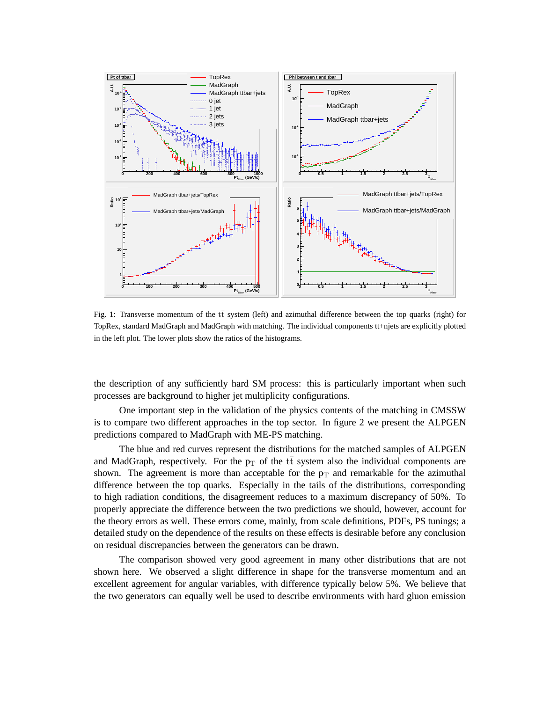

Fig. 1: Transverse momentum of the  $t\bar{t}$  system (left) and azimuthal difference between the top quarks (right) for TopRex, standard MadGraph and MadGraph with matching. The individual components tt+njets are explicitly plotted in the left plot. The lower plots show the ratios of the histograms.

the description of any sufficiently hard SM process: this is particularly important when such processes are background to higher jet multiplicity configurations.

One important step in the validation of the physics contents of the matching in CMSSW is to compare two different approaches in the top sector. In figure 2 we present the ALPGEN predictions compared to MadGraph with ME-PS matching.

The blue and red curves represent the distributions for the matched samples of ALPGEN and MadGraph, respectively. For the  $p_T$  of the  $t\bar{t}$  system also the individual components are shown. The agreement is more than acceptable for the  $p_T$  and remarkable for the azimuthal difference between the top quarks. Especially in the tails of the distributions, corresponding to high radiation conditions, the disagreement reduces to a maximum discrepancy of 50%. To properly appreciate the difference between the two predictions we should, however, account for the theory errors as well. These errors come, mainly, from scale definitions, PDFs, PS tunings; a detailed study on the dependence of the results on these effects is desirable before any conclusion on residual discrepancies between the generators can be drawn.

The comparison showed very good agreement in many other distributions that are not shown here. We observed a slight difference in shape for the transverse momentum and an excellent agreement for angular variables, with difference typically below 5%. We believe that the two generators can equally well be used to describe environments with hard gluon emission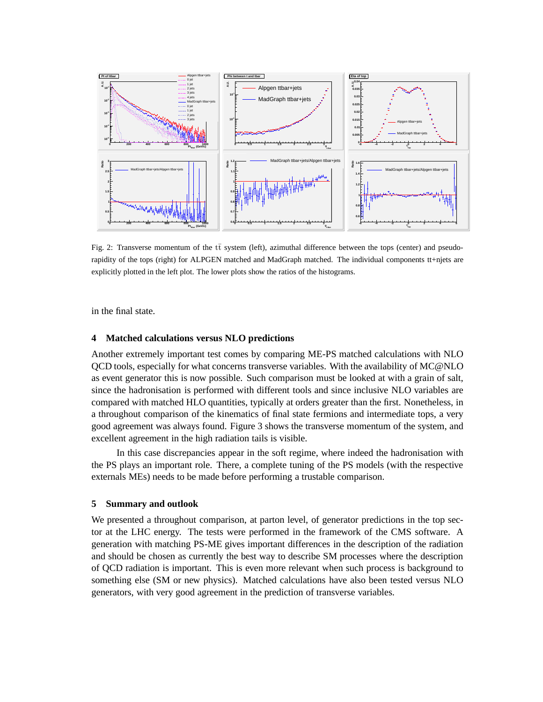

Fig. 2: Transverse momentum of the  $t\bar{t}$  system (left), azimuthal difference between the tops (center) and pseudorapidity of the tops (right) for ALPGEN matched and MadGraph matched. The individual components tt+njets are explicitly plotted in the left plot. The lower plots show the ratios of the histograms.

in the final state.

# **4 Matched calculations versus NLO predictions**

Another extremely important test comes by comparing ME-PS matched calculations with NLO QCD tools, especially for what concerns transverse variables. With the availability of MC@NLO as event generator this is now possible. Such comparison must be looked at with a grain of salt, since the hadronisation is performed with different tools and since inclusive NLO variables are compared with matched HLO quantities, typically at orders greater than the first. Nonetheless, in a throughout comparison of the kinematics of final state fermions and intermediate tops, a very good agreement was always found. Figure 3 shows the transverse momentum of the system, and excellent agreement in the high radiation tails is visible.

In this case discrepancies appear in the soft regime, where indeed the hadronisation with the PS plays an important role. There, a complete tuning of the PS models (with the respective externals MEs) needs to be made before performing a trustable comparison.

### **5 Summary and outlook**

We presented a throughout comparison, at parton level, of generator predictions in the top sector at the LHC energy. The tests were performed in the framework of the CMS software. A generation with matching PS-ME gives important differences in the description of the radiation and should be chosen as currently the best way to describe SM processes where the description of QCD radiation is important. This is even more relevant when such process is background to something else (SM or new physics). Matched calculations have also been tested versus NLO generators, with very good agreement in the prediction of transverse variables.